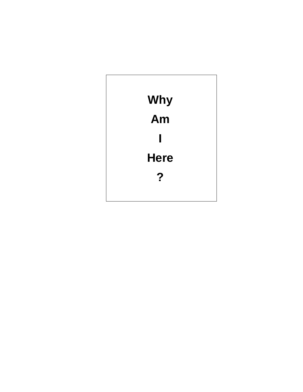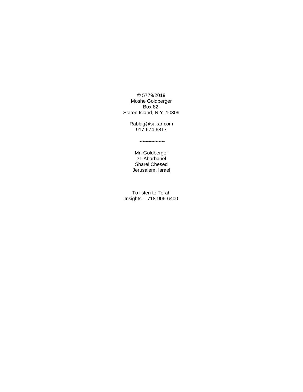© 5779/2019 Moshe Goldberger Box 82, Staten Island, N.Y. 10309

Rabbig@sakar.com 917-674-6817

**~~~~~~~~**

Mr. Goldberger 31 Abarbanel Sharei Chesed Jerusalem, Israel

To listen to Torah Insights - 718-906-6400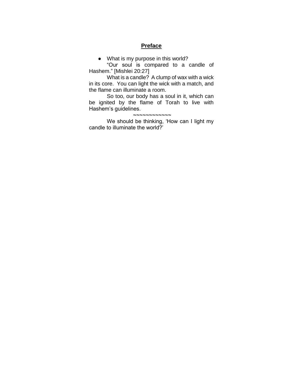## **Preface**

● What is my purpose in this world?

"Our soul is compared to a candle of Hashem." [Mishlei 20:27]

What is a candle? A clump of wax with a wick in its core. You can light the wick with a match, and the flame can illuminate a room.

So too, our body has a soul in it, which can be ignited by the flame of Torah to live with Hashem's guidelines.

**~~~~~~~~~~~~** We should be thinking, 'How can I light my candle to illuminate the world?'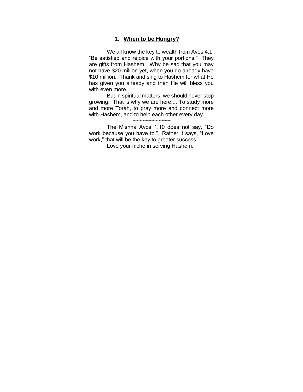## 1. **When to be Hungry?**

We all know the key to wealth from Avos 4:1, "Be satisfied and rejoice with your portions." They are gifts from Hashem. Why be sad that you may not have \$20 million yet, when you do already have \$10 million. Thank and sing to Hashem for what He has given you already and then He will bless you with even more.

But in spiritual matters, we should never stop growing. That is why we are here!... To study more and more Torah, to pray more and connect more with Hashem, and to help each other every day.

# **~~~~~~~~~~~~**

The Mishna Avos 1:10 does not say, "Do work because you have to." Rather it says, "Love work," that will be the key to greater success.

Love your niche in serving Hashem.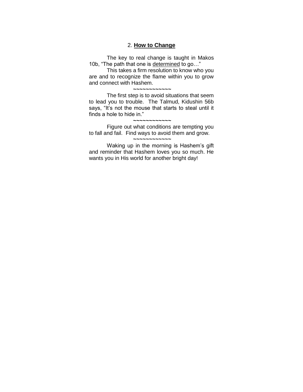# 2. **How to Change**

The key to real change is taught in Makos 10b, "The path that one is determined to go…"

This takes a firm resolution to know who you are and to recognize the flame within you to grow and connect with Hashem. **~~~~~~~~~~~~**

The first step is to avoid situations that seem to lead you to trouble. The Talmud, Kidushin 56b says, "It's not the mouse that starts to steal until it finds a hole to hide in."

#### **~~~~~~~~~~~~**

Figure out what conditions are tempting you to fall and fail. Find ways to avoid them and grow.

### **~~~~~~~~~~~~**

Waking up in the morning is Hashem's gift and reminder that Hashem loves you so much. He wants you in His world for another bright day!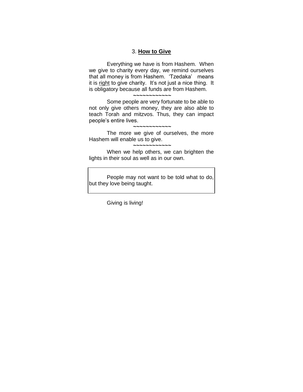## 3. **How to Give**

Everything we have is from Hashem. When we give to charity every day, we remind ourselves that all money is from Hashem. 'Tzedaka' means it is right to give charity. It's not just a nice thing. It is obligatory because all funds are from Hashem.

**~~~~~~~~~~~~**

Some people are very fortunate to be able to not only give others money, they are also able to teach Torah and mitzvos. Thus, they can impact people's entire lives.

#### **~~~~~~~~~~~~**

The more we give of ourselves, the more Hashem will enable us to give.

#### **~~~~~~~~~~~~**

When we help others, we can brighten the lights in their soul as well as in our own.

People may not want to be told what to do, but they love being taught.

Giving is living!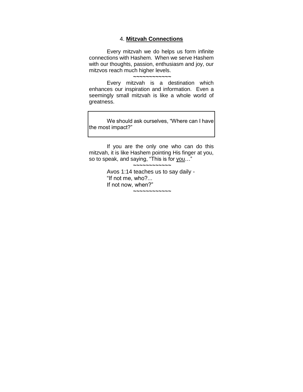### 4. **Mitzvah Connections**

Every mitzvah we do helps us form infinite connections with Hashem. When we serve Hashem with our thoughts, passion, enthusiasm and joy, our mitzvos reach much higher levels. **~~~~~~~~~~~~**

Every mitzvah is a destination which enhances our inspiration and information. Even a seemingly small mitzvah is like a whole world of greatness.

We should ask ourselves, "Where can I have the most impact?"

If you are the only one who can do this mitzvah, it is like Hashem pointing His finger at you, so to speak, and saying, "This is for you..."

**~~~~~~~~~~~~**

Avos 1:14 teaches us to say daily - "If not me, who?... If not now, when?" **~~~~~~~~~~~~**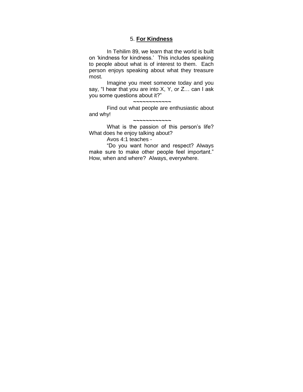# 5. **For Kindness**

In Tehilim 89, we learn that the world is built on 'kindness for kindness.' This includes speaking to people about what is of interest to them. Each person enjoys speaking about what they treasure most.

Imagine you meet someone today and you say, "I hear that you are into X, Y, or Z… can I ask you some questions about it?"

**~~~~~~~~~~~~**

Find out what people are enthusiastic about and why!

**~~~~~~~~~~~~**

What is the passion of this person's life? What does he enjoy talking about?

Avos 4:1 teaches -

"Do you want honor and respect? Always make sure to make other people feel important." How, when and where? Always, everywhere.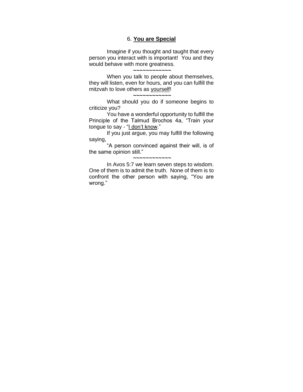## 6. **You are Special**

Imagine if you thought and taught that every person you interact with is important! You and they would behave with more greatness. **~~~~~~~~~~~~**

When you talk to people about themselves, they will listen, even for hours, and you can fulfill the mitzvah to love others as yourself!

**~~~~~~~~~~~~**

What should you do if someone begins to criticize you?

You have a wonderful opportunity to fulfill the Principle of the Talmud Brochos 4a, "Train your tongue to say - "I don't know."

If you just argue, you may fulfill the following saying,

"A person convinced against their will, is of the same opinion still."

**~~~~~~~~~~~~**

In Avos 5:7 we learn seven steps to wisdom. One of them is to admit the truth. None of them is to confront the other person with saying, "You are wrong."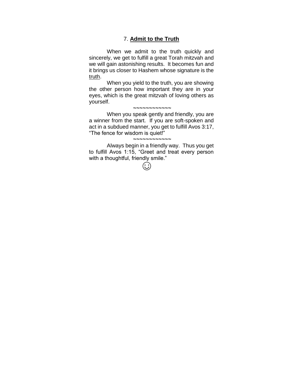# 7. **Admit to the Truth**

When we admit to the truth quickly and sincerely, we get to fulfill a great Torah mitzvah and we will gain astonishing results. It becomes fun and it brings us closer to Hashem whose signature is the truth.

When you yield to the truth, you are showing the other person how important they are in your eyes, which is the great mitzvah of loving others as yourself.

#### **~~~~~~~~~~~~**

When you speak gently and friendly, you are a winner from the start. If you are soft-spoken and act in a subdued manner, you get to fulfill Avos 3:17, "The fence for wisdom is quiet!"

#### **~~~~~~~~~~~~**

Always begin in a friendly way. Thus you get to fulfill Avos 1:15, "Greet and treat every person with a thoughtful, friendly smile."

 $\odot$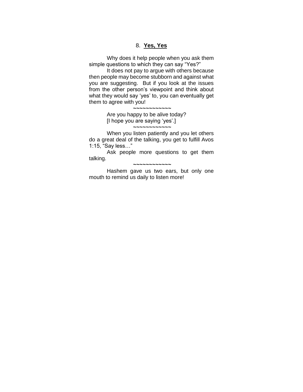## 8. **Yes, Yes**

Why does it help people when you ask them simple questions to which they can say "Yes?"

It does not pay to argue with others because then people may become stubborn and against what you are suggesting. But if you look at the issues from the other person's viewpoint and think about what they would say 'yes' to, you can eventually get them to agree with you!

> **~~~~~~~~~~~~** Are you happy to be alive today? [I hope you are saying 'yes'.] **~~~~~~~~~~~~**

When you listen patiently and you let others do a great deal of the talking, you get to fulfill Avos 1:15, "Say less…"

Ask people more questions to get them talking.

**~~~~~~~~~~~~**

Hashem gave us two ears, but only one mouth to remind us daily to listen more!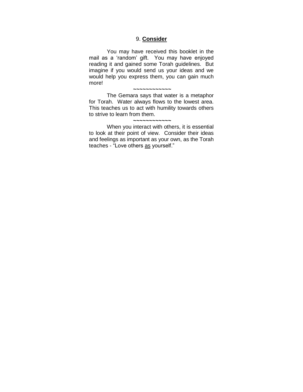## 9. **Consider**

You may have received this booklet in the mail as a 'random' gift. You may have enjoyed reading it and gained some Torah guidelines. But imagine if you would send us your ideas and we would help you express them, you can gain much more!

**~~~~~~~~~~~~**

The Gemara says that water is a metaphor for Torah. Water always flows to the lowest area. This teaches us to act with humility towards others to strive to learn from them.

#### **~~~~~~~~~~~~**

When you interact with others, it is essential to look at their point of view. Consider their ideas and feelings as important as your own, as the Torah teaches - "Love others as yourself."